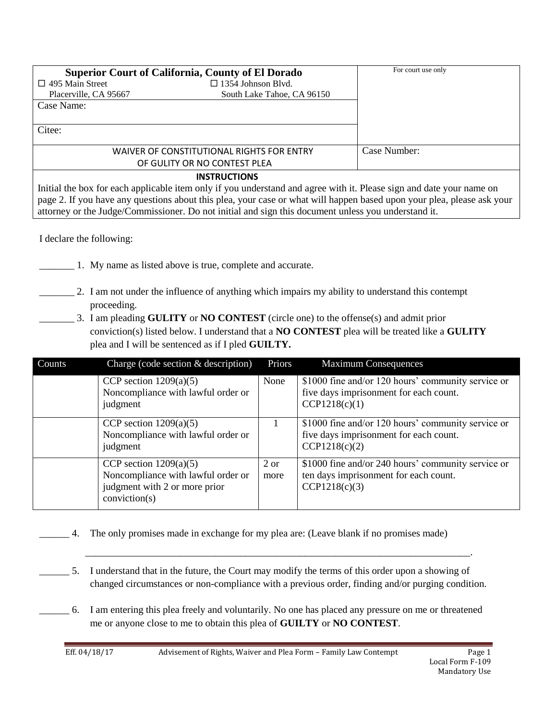| <b>Superior Court of California, County of El Dorado</b>                                                             | For court use only                        |              |  |  |
|----------------------------------------------------------------------------------------------------------------------|-------------------------------------------|--------------|--|--|
| $\Box$ 495 Main Street                                                                                               | $\Box$ 1354 Johnson Blvd.                 |              |  |  |
| Placerville, CA 95667                                                                                                | South Lake Tahoe, CA 96150                |              |  |  |
| Case Name:                                                                                                           |                                           |              |  |  |
|                                                                                                                      |                                           |              |  |  |
| Citee:                                                                                                               |                                           |              |  |  |
|                                                                                                                      |                                           |              |  |  |
|                                                                                                                      | WAIVER OF CONSTITUTIONAL RIGHTS FOR ENTRY | Case Number: |  |  |
|                                                                                                                      | OF GULITY OR NO CONTEST PLEA              |              |  |  |
| <b>INSTRUCTIONS</b>                                                                                                  |                                           |              |  |  |
| Initial the box for each applicable item only if you understand and agree with it. Please sign and date your name on |                                           |              |  |  |

page 2. If you have any questions about this plea, your case or what will happen based upon your plea, please ask your attorney or the Judge/Commissioner. Do not initial and sign this document unless you understand it.

I declare the following:

- \_\_\_\_\_\_\_ 1. My name as listed above is true, complete and accurate.
- \_\_\_\_\_\_\_ 2. I am not under the influence of anything which impairs my ability to understand this contempt proceeding.
- \_\_\_\_\_\_\_ 3. I am pleading **GULITY** or **NO CONTEST** (circle one) to the offense(s) and admit prior conviction(s) listed below. I understand that a **NO CONTEST** plea will be treated like a **GULITY**  plea and I will be sentenced as if I pled **GUILTY.**

| Counts | Charge (code section $&$ description)                                                                            | Priors       | <b>Maximum Consequences</b>                                                                                   |
|--------|------------------------------------------------------------------------------------------------------------------|--------------|---------------------------------------------------------------------------------------------------------------|
|        | CCP section $1209(a)(5)$<br>Noncompliance with lawful order or<br>judgment                                       | None         | \$1000 fine and/or 120 hours' community service or<br>five days imprisonment for each count.<br>CCP1218(c)(1) |
|        | CCP section $1209(a)(5)$<br>Noncompliance with lawful order or<br>judgment                                       |              | \$1000 fine and/or 120 hours' community service or<br>five days imprisonment for each count.<br>CCP1218(c)(2) |
|        | CCP section $1209(a)(5)$<br>Noncompliance with lawful order or<br>judgment with 2 or more prior<br>conviction(s) | 2 or<br>more | \$1000 fine and/or 240 hours' community service or<br>ten days imprisonment for each count.<br>CCP1218(c)(3)  |

- \_\_\_\_\_\_ 4. The only promises made in exchange for my plea are: (Leave blank if no promises made)
- 5. I understand that in the future, the Court may modify the terms of this order upon a showing of changed circumstances or non-compliance with a previous order, finding and/or purging condition.

\_\_\_\_\_\_\_\_\_\_\_\_\_\_\_\_\_\_\_\_\_\_\_\_\_\_\_\_\_\_\_\_\_\_\_\_\_\_\_\_\_\_\_\_\_\_\_\_\_\_\_\_\_\_\_\_\_\_\_\_\_\_\_\_\_\_\_\_\_\_\_\_\_\_\_\_\_.

\_\_\_\_\_\_ 6. I am entering this plea freely and voluntarily. No one has placed any pressure on me or threatened me or anyone close to me to obtain this plea of **GUILTY** or **NO CONTEST**.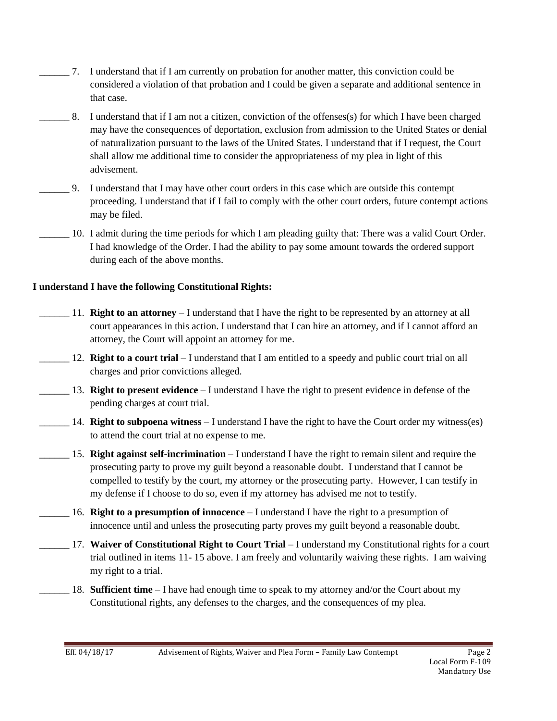- \_\_\_\_\_\_ 7. I understand that if I am currently on probation for another matter, this conviction could be considered a violation of that probation and I could be given a separate and additional sentence in that case.
- \_\_\_\_\_\_ 8. I understand that if I am not a citizen, conviction of the offenses(s) for which I have been charged may have the consequences of deportation, exclusion from admission to the United States or denial of naturalization pursuant to the laws of the United States. I understand that if I request, the Court shall allow me additional time to consider the appropriateness of my plea in light of this advisement.
- \_\_\_\_\_\_ 9. I understand that I may have other court orders in this case which are outside this contempt proceeding. I understand that if I fail to comply with the other court orders, future contempt actions may be filed.
- \_\_\_\_\_\_ 10. I admit during the time periods for which I am pleading guilty that: There was a valid Court Order. I had knowledge of the Order. I had the ability to pay some amount towards the ordered support during each of the above months.

## **I understand I have the following Constitutional Rights:**

- \_\_\_\_\_\_ 11. **Right to an attorney** I understand that I have the right to be represented by an attorney at all court appearances in this action. I understand that I can hire an attorney, and if I cannot afford an attorney, the Court will appoint an attorney for me.
- \_\_\_\_\_\_ 12. **Right to a court trial** I understand that I am entitled to a speedy and public court trial on all charges and prior convictions alleged.
- \_\_\_\_\_\_ 13. **Right to present evidence** I understand I have the right to present evidence in defense of the pending charges at court trial.
- 14. **Right to subpoena witness** I understand I have the right to have the Court order my witness(es) to attend the court trial at no expense to me.
- \_\_\_\_\_\_ 15. **Right against self-incrimination** I understand I have the right to remain silent and require the prosecuting party to prove my guilt beyond a reasonable doubt. I understand that I cannot be compelled to testify by the court, my attorney or the prosecuting party. However, I can testify in my defense if I choose to do so, even if my attorney has advised me not to testify.
- \_\_\_\_\_\_ 16. **Right to a presumption of innocence** I understand I have the right to a presumption of innocence until and unless the prosecuting party proves my guilt beyond a reasonable doubt.
- \_\_\_\_\_\_ 17. **Waiver of Constitutional Right to Court Trial** I understand my Constitutional rights for a court trial outlined in items 11- 15 above. I am freely and voluntarily waiving these rights. I am waiving my right to a trial.
- \_\_\_\_\_\_ 18. **Sufficient time** I have had enough time to speak to my attorney and/or the Court about my Constitutional rights, any defenses to the charges, and the consequences of my plea.